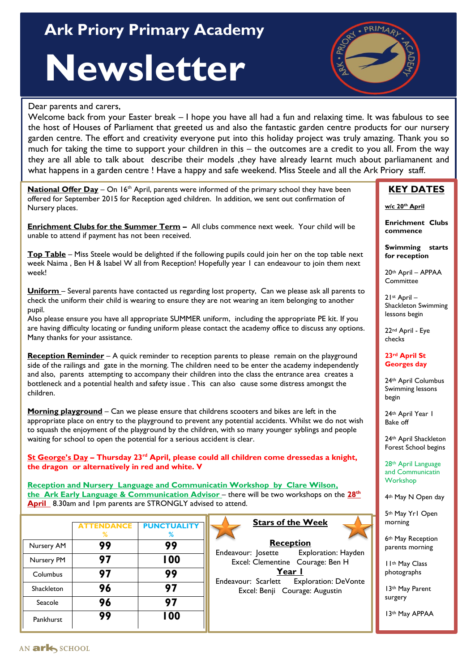# **Ark Priory Primary Academy** And Allen Assembly

# **Newsletter**

#### Dear parents and carers,

Welcome back from your Easter break – I hope you have all had a fun and relaxing time. It was fabulous to see the host of Houses of Parliament that greeted us and also the fantastic garden centre products for our nursery garden centre. The effort and creativity everyone put into this holiday project was truly amazing. Thank you so much for taking the time to support your children in this – the outcomes are a credit to you all. From the way they are all able to talk about describe their models ,they have already learnt much about parliamanent and what happens in a garden centre ! Have a happy and safe weekend. Miss Steele and all the Ark Priory staff.

**National Offer Day** – On 16<sup>th</sup> April, parents were informed of the primary school they have been offered for September 2015 for Reception aged children. In addition, we sent out confirmation of Nursery places.

**Enrichment Clubs for the Summer Term –** All clubs commence next week. Your child will be unable to attend if payment has not been received.

**Top Table** – Miss Steele would be delighted if the following pupils could join her on the top table next week Naima, Ben H & Isabel W all from Reception! Hopefully year 1 can endeavour to join them next week!

**Uniform** – Several parents have contacted us regarding lost property, Can we please ask all parents to check the uniform their child is wearing to ensure they are not wearing an item belonging to another pupil.

Also please ensure you have all appropriate SUMMER uniform, including the appropriate PE kit. If you are having difficulty locating or funding uniform please contact the academy office to discuss any options. Many thanks for your assistance.

**Reception Reminder** – A quick reminder to reception parents to please remain on the playground side of the railings and gate in the morning. The children need to be enter the academy independently and also, parents attempting to accompany their children into the class the entrance area creates a bottleneck and a potential health and safety issue . This can also cause some distress amongst the children.

**Morning playground** – Can we please ensure that childrens scooters and bikes are left in the appropriate place on entry to the playground to prevent any potential accidents. Whilst we do not wish to squash the enjoyment of the playground by the children, with so many younger syblings and people waiting for school to open the potential for a serious accident is clear.

**St George's Day – Thursday 23rd April, please could all children come dressedas a knight, the dragon or alternatively in red and white. V**

**Reception and Nursery Language and Communicatin Workshop by Clare Wilson, the Ark Early Language & Communication Advisor** – there will be two workshops on the **28th April** 8.30am and 1pm parents are STRONGLY advised to attend.

|            | <b>ATTENDANCE</b><br>℅ | <b>PUNCTUALITY</b><br>% |
|------------|------------------------|-------------------------|
| Nursery AM | 99                     | 99                      |
| Nursery PM | 97                     | 100                     |
| Columbus   | 97                     | 99                      |
| Shackleton | 96                     | 97                      |
| Seacole    | 96                     | 97                      |
| Pankhurst  | 99                     | 100                     |



**Stars of the Week**

**Reception** Endeavour: Josette Exploration: Hayden Excel: Clementine Courage: Ben H **Year 1** Endeavour: Scarlett Exploration: DeVonte Excel: Benji Courage: Augustin

### **KEY DATES**

**w/c 20th April**

**Enrichment Clubs commence**

**Swimming starts for reception**

20th April – APPAA **Committee** 

21st April – Shackleton Swimming lessons begin

22nd April - Eye checks

#### **23rd April St Georges day**

24th April Columbus Swimming lessons begin

24th April Year 1 Bake off

24th April Shackleton Forest School begins

28th April Language and Communicatin **Workshop** 

4th May N Open day

5th May Yr1 Open morning

6th May Reception parents morning

11th May Class photographs

13th May Parent surgery

13th May APPAA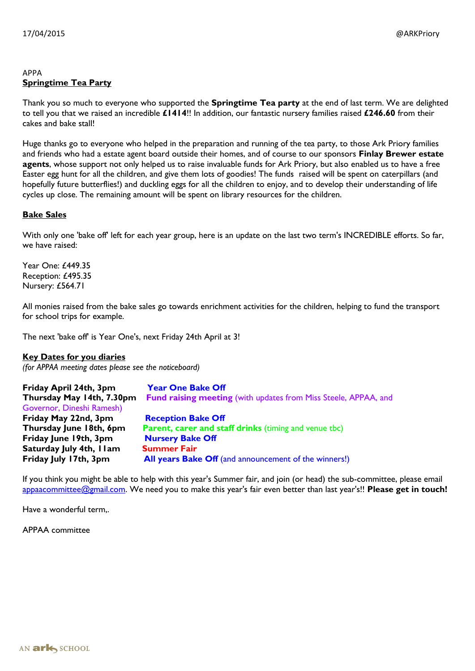#### APPA **Springtime Tea Party**

Thank you so much to everyone who supported the **Springtime Tea party** at the end of last term. We are delighted to tell you that we raised an incredible **£1414**!! In addition, our fantastic nursery families raised **£246.60** from their cakes and bake stall!

Huge thanks go to everyone who helped in the preparation and running of the tea party, to those Ark Priory families and friends who had a estate agent board outside their homes, and of course to our sponsors **Finlay Brewer estate agents**, whose support not only helped us to raise invaluable funds for Ark Priory, but also enabled us to have a free Easter egg hunt for all the children, and give them lots of goodies! The funds raised will be spent on caterpillars (and hopefully future butterflies!) and duckling eggs for all the children to enjoy, and to develop their understanding of life cycles up close. The remaining amount will be spent on library resources for the children.

#### **Bake Sales**

With only one 'bake off' left for each year group, here is an update on the last two term's INCREDIBLE efforts. So far, we have raised:

Year One: £449.35 Reception: £495.35 Nursery: £564.71

All monies raised from the bake sales go towards enrichment activities for the children, helping to fund the transport for school trips for example.

The next 'bake off' is Year One's, next Friday 24th April at 3!

**Key Dates for you diaries** *(for APPAA meeting dates please see the noticeboard)*

| Friday April 24th, 3pm<br>Thursday May 14th, 7.30pm<br>Governor, Dineshi Ramesh) | <b>Year One Bake Off</b><br><b>Fund raising meeting (with updates from Miss Steele, APPAA, and</b> |
|----------------------------------------------------------------------------------|----------------------------------------------------------------------------------------------------|
| Friday May 22nd, 3pm                                                             | <b>Reception Bake Off</b>                                                                          |
| Thursday June 18th, 6pm                                                          | <b>Parent, carer and staff drinks (timing and venue tbc)</b>                                       |
| Friday June 19th, 3pm                                                            | <b>Nursery Bake Off</b>                                                                            |
| Saturday July 4th, I I am                                                        | <b>Summer Fair</b>                                                                                 |
| Friday July 17th, 3pm                                                            | All years Bake Off (and announcement of the winners!)                                              |

If you think you might be able to help with this year's Summer fair, and join (or head) the sub-committee, please email [appaacommittee@gmail.com.](mailto:appaacommittee@gmail.com) We need you to make this year's fair even better than last year's!! **Please get in touch!**

Have a wonderful term,.

APPAA committee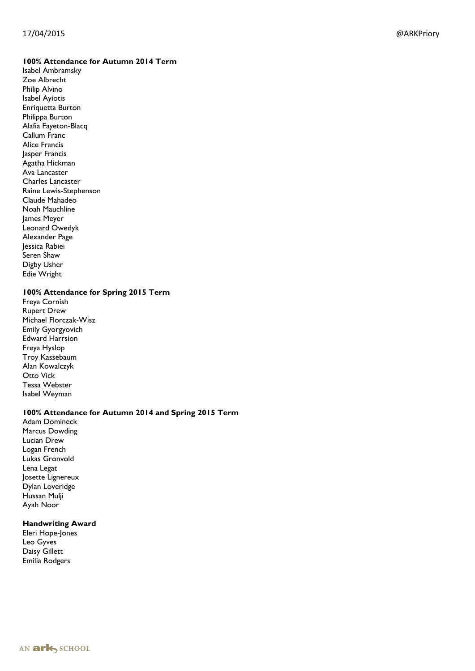#### 17/04/2015 @ARKPriory

#### **100% Attendance for Autumn 2014 Term**

Isabel Ambramsky Zoe Albrecht Philip Alvino Isabel Ayiotis Enriquetta Burton Philippa Burton Alafia Fayeton -Blacq Callum Franc Alice Francis Jasper Francis Agatha Hickman Ava Lancaster Charles Lancaster Raine Lewis -Stephenson Claude Mahadeo Noah Mauchline James Meyer Leonard Owedyk Alexander Page Jessica Rabiei Seren Shaw Digby Usher Edie Wright

#### **100% Attendance for Spring 2015 Term**

Freya Cornish Rupert Drew Michael Florczak -Wisz Emily Gyorgyovich Edward Harrsion Freya Hyslop Troy Kassebaum Alan Kowalczyk Otto Vick Tessa Webster Isabel Weyman

#### **100% Attendance for Autumn 2014 and Spring 2015 Term**

Adam Domineck Marcus Dowding Lucian Drew Logan French Lukas Gronvold Lena Legat Josette Lignereux Dylan Loveridge Hussan Mulji Ayah Noor

#### **Handwriting Award**

Eleri Hope -Jones Leo Gyves Daisy Gillett Emilia Rodgers